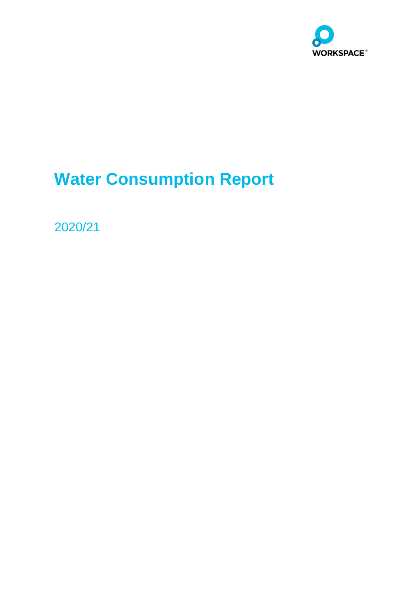

# **Water Consumption Report**

2020/21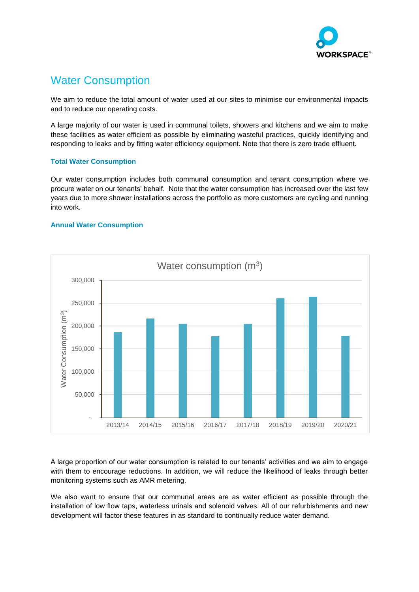

## Water Consumption

We aim to reduce the total amount of water used at our sites to minimise our environmental impacts and to reduce our operating costs.

A large majority of our water is used in communal toilets, showers and kitchens and we aim to make these facilities as water efficient as possible by eliminating wasteful practices, quickly identifying and responding to leaks and by fitting water efficiency equipment. Note that there is zero trade effluent.

#### **Total Water Consumption**

Our water consumption includes both communal consumption and tenant consumption where we procure water on our tenants' behalf. Note that the water consumption has increased over the last few years due to more shower installations across the portfolio as more customers are cycling and running into work.

#### **Annual Water Consumption**



A large proportion of our water consumption is related to our tenants' activities and we aim to engage with them to encourage reductions. In addition, we will reduce the likelihood of leaks through better monitoring systems such as AMR metering.

We also want to ensure that our communal areas are as water efficient as possible through the installation of low flow taps, waterless urinals and solenoid valves. All of our refurbishments and new development will factor these features in as standard to continually reduce water demand.